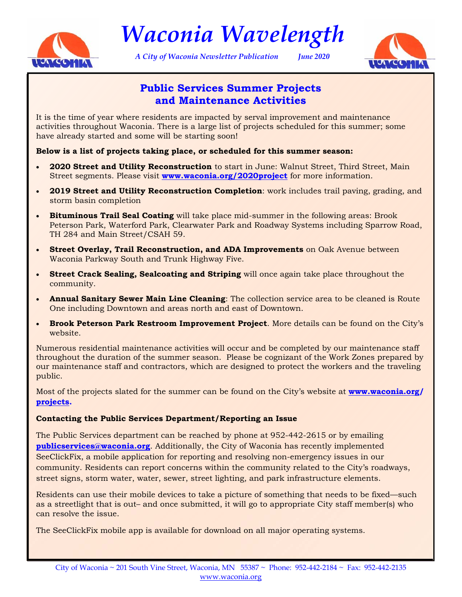

*Waconia Wavelength* 

*A City of Waconia Newsletter Publication June 2020* 



### **Public Services Summer Projects and Maintenance Activities**

It is the time of year where residents are impacted by serval improvement and maintenance activities throughout Waconia. There is a large list of projects scheduled for this summer; some have already started and some will be starting soon!

#### **Below is a list of projects taking place, or scheduled for this summer season:**

- **2020 Street and Utility Reconstruction** to start in June: Walnut Street, Third Street, Main Street segments. Please visit **[www.waconia.org/2020project](https://clients.bolton-menk.com/waconia2020/)** for more information.
- **2019 Street and Utility Reconstruction Completion**: work includes trail paving, grading, and storm basin completion
- **Bituminous Trail Seal Coating** will take place mid-summer in the following areas: Brook Peterson Park, Waterford Park, Clearwater Park and Roadway Systems including Sparrow Road, TH 284 and Main Street/CSAH 59.
- **Street Overlay, Trail Reconstruction, and ADA Improvements** on Oak Avenue between Waconia Parkway South and Trunk Highway Five.
- **Street Crack Sealing, Sealcoating and Striping** will once again take place throughout the community.
- **Annual Sanitary Sewer Main Line Cleaning**: The collection service area to be cleaned is Route One including Downtown and areas north and east of Downtown.
- **Brook Peterson Park Restroom Improvement Project**. More details can be found on the City's website.

Numerous residential maintenance activities will occur and be completed by our maintenance staff throughout the duration of the summer season. Please be cognizant of the Work Zones prepared by our maintenance staff and contractors, which are designed to protect the workers and the traveling public.

Most of the projects slated for the summer can be found on the City's website at **[www.waconia.org/](http://waconia.org/430/Projects) [projects.](http://waconia.org/430/Projects)** 

#### **Contacting the Public Services Department/Reporting an Issue**

The Public Services department can be reached by phone at 952-442-2615 or by emailing **[publicservices@waconia.org](mailto: publicservices@waconia.org)**. Additionally, the City of Waconia has recently implemented SeeClickFix, a mobile application for reporting and resolving non-emergency issues in our community. Residents can report concerns within the community related to the City's roadways, street signs, storm water, water, sewer, street lighting, and park infrastructure elements.

Residents can use their mobile devices to take a picture of something that needs to be fixed—such as a streetlight that is out– and once submitted, it will go to appropriate City staff member(s) who can resolve the issue.

The SeeClickFix mobile app is available for download on all major operating systems.